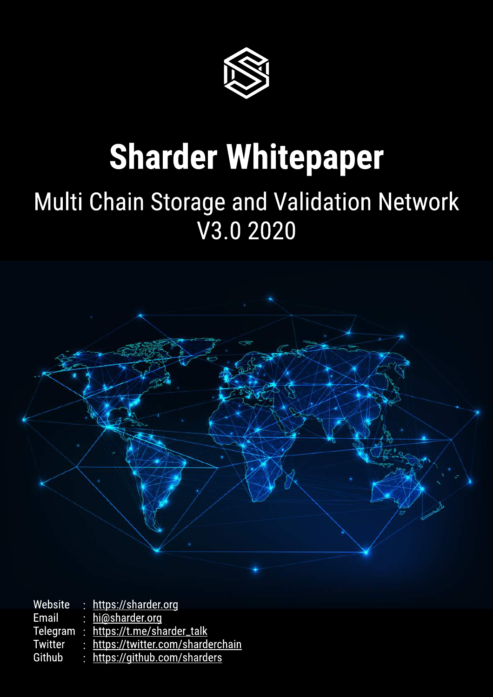

# **Sharder Whitepaper**

# Multi Chain Storage and Validation Network V3.0 2020



| Website        | : https://sharder.org               |
|----------------|-------------------------------------|
| Email          | : $hi@sharder.org$                  |
|                | Telegram: https://t.me/sharder_talk |
| <b>Twitter</b> | : https://twitter.com/sharderchain  |
| Github         | : https://github.com/sharders       |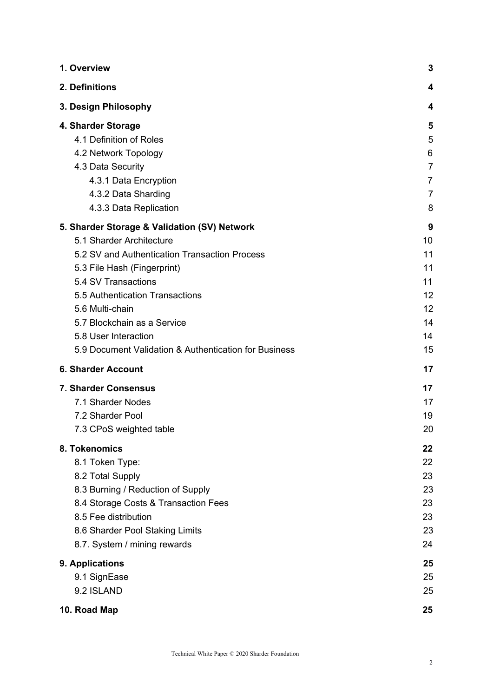| 1. Overview                                           | 3              |
|-------------------------------------------------------|----------------|
| 2. Definitions                                        | 4              |
| 3. Design Philosophy                                  | 4              |
| 4. Sharder Storage                                    | 5              |
| 4.1 Definition of Roles                               | 5              |
| 4.2 Network Topology                                  | 6              |
| 4.3 Data Security                                     | $\overline{7}$ |
| 4.3.1 Data Encryption                                 | 7              |
| 4.3.2 Data Sharding                                   | 7              |
| 4.3.3 Data Replication                                | 8              |
| 5. Sharder Storage & Validation (SV) Network          | 9              |
| 5.1 Sharder Architecture                              | 10             |
| 5.2 SV and Authentication Transaction Process         | 11             |
| 5.3 File Hash (Fingerprint)                           | 11             |
| 5.4 SV Transactions                                   | 11             |
| 5.5 Authentication Transactions                       | 12             |
| 5.6 Multi-chain                                       | 12             |
| 5.7 Blockchain as a Service                           | 14             |
| 5.8 User Interaction                                  | 14             |
| 5.9 Document Validation & Authentication for Business | 15             |
| <b>6. Sharder Account</b>                             | 17             |
| <b>7. Sharder Consensus</b>                           | 17             |
| 7.1 Sharder Nodes                                     | 17             |
| 7.2 Sharder Pool                                      | 19             |
| 7.3 CPoS weighted table                               | 20             |
| 8. Tokenomics                                         | 22             |
| 8.1 Token Type:                                       | 22             |
| 8.2 Total Supply                                      | 23             |
| 8.3 Burning / Reduction of Supply                     | 23             |
| 8.4 Storage Costs & Transaction Fees                  | 23             |
| 8.5 Fee distribution                                  | 23             |
| 8.6 Sharder Pool Staking Limits                       | 23             |
| 8.7. System / mining rewards                          | 24             |
| 9. Applications                                       | 25             |
| 9.1 SignEase                                          | 25             |
| 9.2 ISLAND                                            | 25             |
| 10. Road Map                                          | 25             |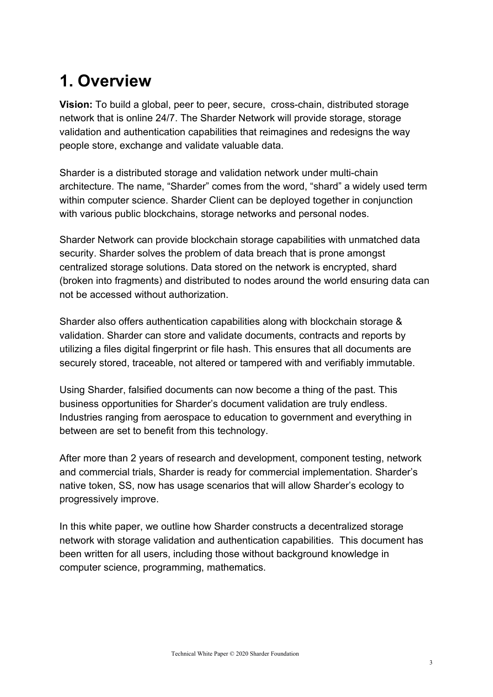# **1. Overview**

**Vision:** To build a global, peer to peer, secure, cross-chain, distributed storage network that is online 24/7. The Sharder Network will provide storage, storage validation and authentication capabilities that reimagines and redesigns the way people store, exchange and validate valuable data.

Sharder is a distributed storage and validation network under multi-chain architecture. The name, "Sharder" comes from the word, "shard" a widely used term within computer science. Sharder Client can be deployed together in conjunction with various public blockchains, storage networks and personal nodes.

Sharder Network can provide blockchain storage capabilities with unmatched data security. Sharder solves the problem of data breach that is prone amongst centralized storage solutions. Data stored on the network is encrypted, shard (broken into fragments) and distributed to nodes around the world ensuring data can not be accessed without authorization.

Sharder also offers authentication capabilities along with blockchain storage & validation. Sharder can store and validate documents, contracts and reports by utilizing a files digital fingerprint or file hash. This ensures that all documents are securely stored, traceable, not altered or tampered with and verifiably immutable.

Using Sharder, falsified documents can now become a thing of the past. This business opportunities for Sharder's document validation are truly endless. Industries ranging from aerospace to education to government and everything in between are set to benefit from this technology.

After more than 2 years of research and development, component testing, network and commercial trials, Sharder is ready for commercial implementation. Sharder's native token, SS, now has usage scenarios that will allow Sharder's ecology to progressively improve.

In this white paper, we outline how Sharder constructs a decentralized storage network with storage validation and authentication capabilities. This document has been written for all users, including those without background knowledge in computer science, programming, mathematics.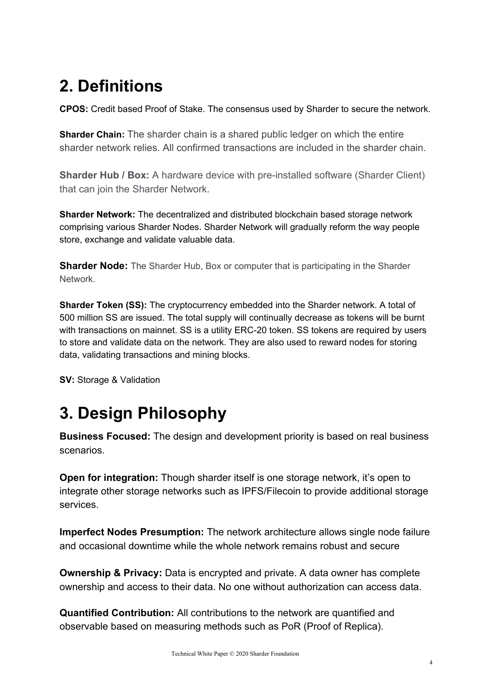# **2. Definitions**

**CPOS:** Credit based Proof of Stake. The consensus used by Sharder to secure the network.

**Sharder Chain:** The sharder chain is a shared public ledger on which the entire sharder network relies. All confirmed transactions are included in the sharder chain.

**Sharder Hub / Box:** A hardware device with pre-installed software (Sharder Client) that can join the Sharder Network.

**Sharder Network:** The decentralized and distributed blockchain based storage network comprising various Sharder Nodes. Sharder Network will gradually reform the way people store, exchange and validate valuable data.

**Sharder Node:** The Sharder Hub, Box or computer that is participating in the Sharder **Network** 

**Sharder Token (SS):** The cryptocurrency embedded into the Sharder network. A total of 500 million SS are issued. The total supply will continually decrease as tokens will be burnt with transactions on mainnet. SS is a utility ERC-20 token. SS tokens are required by users to store and validate data on the network. They are also used to reward nodes for storing data, validating transactions and mining blocks.

**SV:** Storage & Validation

# **3. Design Philosophy**

**Business Focused:** The design and development priority is based on real business scenarios.

**Open for integration:** Though sharder itself is one storage network, it's open to integrate other storage networks such as IPFS/Filecoin to provide additional storage services.

**Imperfect Nodes Presumption:** The network architecture allows single node failure and occasional downtime while the whole network remains robust and secure

**Ownership & Privacy:** Data is encrypted and private. A data owner has complete ownership and access to their data. No one without authorization can access data.

**Quantified Contribution:** All contributions to the network are quantified and observable based on measuring methods such as PoR (Proof of Replica).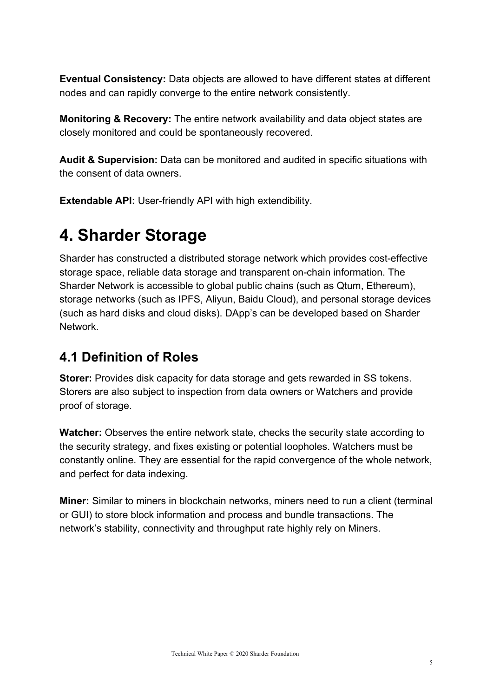**Eventual Consistency:** Data objects are allowed to have different states at different nodes and can rapidly converge to the entire network consistently.

**Monitoring & Recovery:** The entire network availability and data object states are closely monitored and could be spontaneously recovered.

**Audit & Supervision:** Data can be monitored and audited in specific situations with the consent of data owners.

**Extendable API:** User-friendly API with high extendibility.

# **4. Sharder Storage**

Sharder has constructed a distributed storage network which provides cost-effective storage space, reliable data storage and transparent on-chain information. The Sharder Network is accessible to global public chains (such as Qtum, Ethereum), storage networks (such as IPFS, Aliyun, Baidu Cloud), and personal storage devices (such as hard disks and cloud disks). DApp's can be developed based on Sharder Network.

## **4.1 Definition of Roles**

**Storer:** Provides disk capacity for data storage and gets rewarded in SS tokens. Storers are also subject to inspection from data owners or Watchers and provide proof of storage.

**Watcher:** Observes the entire network state, checks the security state according to the security strategy, and fixes existing or potential loopholes. Watchers must be constantly online. They are essential for the rapid convergence of the whole network, and perfect for data indexing.

**Miner:** Similar to miners in blockchain networks, miners need to run a client (terminal or GUI) to store block information and process and bundle transactions. The network's stability, connectivity and throughput rate highly rely on Miners.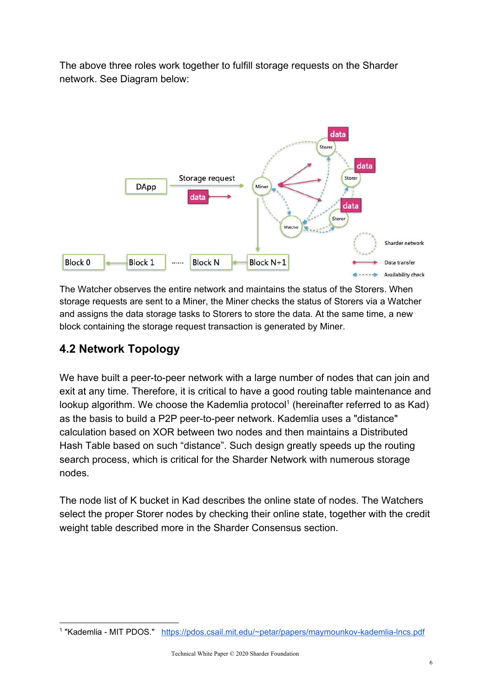The above three roles work together to fulfill storage requests on the Sharder network. See Diagram below:



The Watcher observes the entire network and maintains the status of the Storers. When storage requests are sent to a Miner, the Miner checks the status of Storers via a Watcher and assigns the data storage tasks to Storers to store the data. At the same time, a new block containing the storage request transaction is generated by Miner.

## **4.2 Network Topology**

We have built a peer-to-peer network with a large number of nodes that can join and exit at any time. Therefore, it is critical to have a good routing table maintenance and lookup algorithm. We choose the Kademlia protocol<sup>1</sup> (hereinafter referred to as Kad) as the basis to build a P2P peer-to-peer network. Kademlia uses a "distance" calculation based on XOR between two nodes and then maintains a Distributed Hash Table based on such "distance". Such design greatly speeds up the routing search process, which is critical for the Sharder Network with numerous storage nodes.

The node list of K bucket in Kad describes the online state of nodes. The Watchers select the proper Storer nodes by checking their online state, together with the credit weight table described more in the Sharder Consensus section.

<sup>&</sup>lt;sup>1</sup> "Kademlia - MIT PDOS." <https://pdos.csail.mit.edu/~petar/papers/maymounkov-kademlia-lncs.pdf>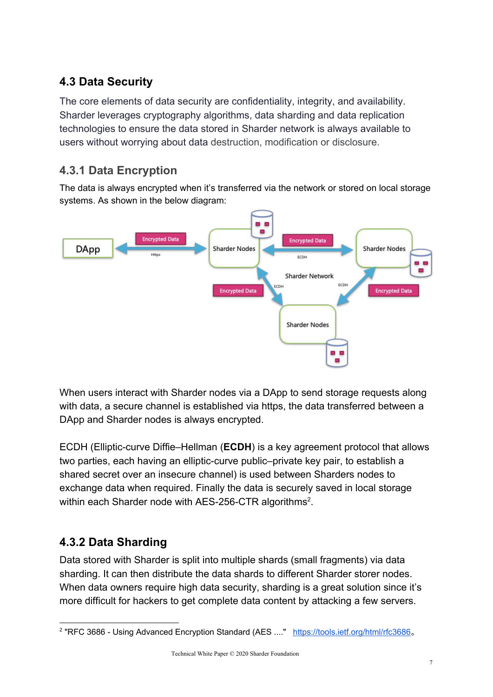## **4.3 Data Security**

The core elements of data security are confidentiality, integrity, and availability. Sharder leverages cryptography algorithms, data sharding and data replication technologies to ensure the data stored in Sharder network is always available to users without worrying about data destruction, modification or disclosure.

## **4.3.1 Data Encryption**

The data is always encrypted when it's transferred via the network or stored on local storage systems. As shown in the below diagram:



When users interact with Sharder nodes via a DApp to send storage requests along with data, a secure channel is established via https, the data transferred between a DApp and Sharder nodes is always encrypted.

ECDH (Elliptic-curve Diffie–Hellman (**ECDH**) is a key agreement protocol that allows two parties, each having an elliptic-curve public–private key pair, to establish a shared secret over an insecure channel) is used between Sharders nodes to exchange data when required. Finally the data is securely saved in local storage within each Sharder node with AES-256-CTR algorithms<sup>2</sup>.

## **4.3.2 Data Sharding**

Data stored with Sharder is split into multiple shards (small fragments) via data sharding. It can then distribute the data shards to different Sharder storer nodes. When data owners require high data security, sharding is a great solution since it's more difficult for hackers to get complete data content by attacking a few servers.

<sup>&</sup>lt;sup>2</sup> "RFC 3686 - Using Advanced Encryption Standard (AES ...." <https://tools.ietf.org/html/rfc3686>。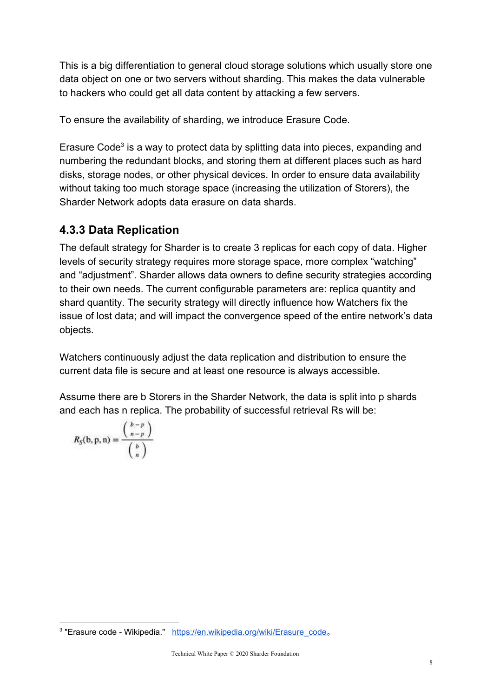This is a big differentiation to general cloud storage solutions which usually store one data object on one or two servers without sharding. This makes the data vulnerable to hackers who could get all data content by attacking a few servers.

To ensure the availability of sharding, we introduce Erasure Code.

Erasure Code<sup>3</sup> is a way to protect data by splitting data into pieces, expanding and numbering the redundant blocks, and storing them at different places such as hard disks, storage nodes, or other physical devices. In order to ensure data availability without taking too much storage space (increasing the utilization of Storers), the Sharder Network adopts data erasure on data shards.

#### **4.3.3 Data Replication**

The default strategy for Sharder is to create 3 replicas for each copy of data. Higher levels of security strategy requires more storage space, more complex "watching" and "adjustment". Sharder allows data owners to define security strategies according to their own needs. The current configurable parameters are: replica quantity and shard quantity. The security strategy will directly influence how Watchers fix the issue of lost data; and will impact the convergence speed of the entire network's data objects.

Watchers continuously adjust the data replication and distribution to ensure the current data file is secure and at least one resource is always accessible.

Assume there are b Storers in the Sharder Network, the data is split into p shards and each has n replica. The probability of successful retrieval Rs will be:

$$
R_{S}(b, p, n) = \frac{\binom{b-p}{n-p}}{\binom{b}{n}}
$$

<sup>&</sup>lt;sup>3</sup> "Erasure code - Wikipedia." [https://en.wikipedia.org/wiki/Erasure\\_code](https://en.wikipedia.org/wiki/Erasure_code)。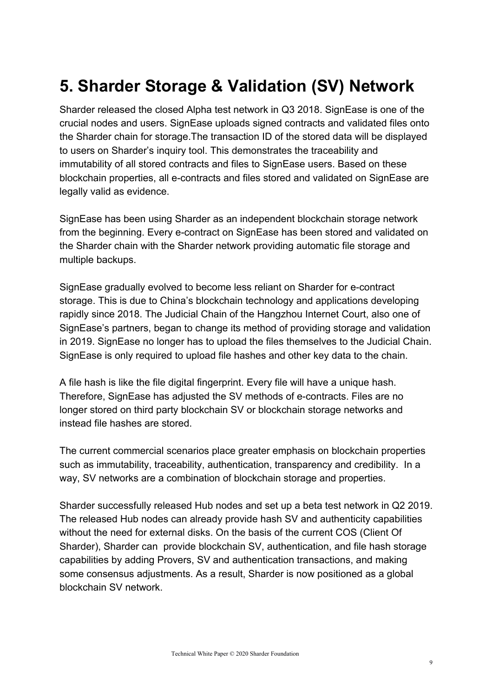# **5. Sharder Storage & Validation (SV) Network**

Sharder released the closed Alpha test network in Q3 2018. SignEase is one of the crucial nodes and users. SignEase uploads signed contracts and validated files onto the Sharder chain for storage.The transaction ID of the stored data will be displayed to users on Sharder's inquiry tool. This demonstrates the traceability and immutability of all stored contracts and files to SignEase users. Based on these blockchain properties, all e-contracts and files stored and validated on SignEase are legally valid as evidence.

SignEase has been using Sharder as an independent blockchain storage network from the beginning. Every e-contract on SignEase has been stored and validated on the Sharder chain with the Sharder network providing automatic file storage and multiple backups.

SignEase gradually evolved to become less reliant on Sharder for e-contract storage. This is due to China's blockchain technology and applications developing rapidly since 2018. The Judicial Chain of the Hangzhou Internet Court, also one of SignEase's partners, began to change its method of providing storage and validation in 2019. SignEase no longer has to upload the files themselves to the Judicial Chain. SignEase is only required to upload file hashes and other key data to the chain.

A file hash is like the file digital fingerprint. Every file will have a unique hash. Therefore, SignEase has adjusted the SV methods of e-contracts. Files are no longer stored on third party blockchain SV or blockchain storage networks and instead file hashes are stored.

The current commercial scenarios place greater emphasis on blockchain properties such as immutability, traceability, authentication, transparency and credibility. In a way, SV networks are a combination of blockchain storage and properties.

Sharder successfully released Hub nodes and set up a beta test network in Q2 2019. The released Hub nodes can already provide hash SV and authenticity capabilities without the need for external disks. On the basis of the current COS (Client Of Sharder), Sharder can provide blockchain SV, authentication, and file hash storage capabilities by adding Provers, SV and authentication transactions, and making some consensus adjustments. As a result, Sharder is now positioned as a global blockchain SV network.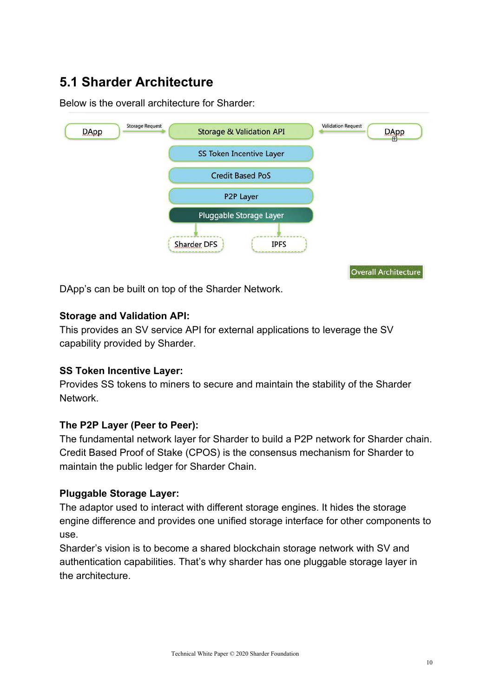## **5.1 Sharder Architecture**

Below is the overall architecture for Sharder:

| DApp | <b>Storage Request</b> |                    | <b>Storage &amp; Validation API</b> | <b>Validation Request</b> | DApp<br>E                   |
|------|------------------------|--------------------|-------------------------------------|---------------------------|-----------------------------|
|      |                        |                    | <b>SS Token Incentive Layer</b>     |                           |                             |
|      |                        |                    | <b>Credit Based PoS</b>             |                           |                             |
|      |                        |                    | P2P Layer                           |                           |                             |
|      |                        |                    | Pluggable Storage Layer             |                           |                             |
|      |                        | <b>Sharder DFS</b> | <b>IPFS</b>                         |                           |                             |
|      |                        |                    |                                     |                           | <b>Overall Architecture</b> |

DApp's can be built on top of the Sharder Network.

#### **Storage and Validation API:**

This provides an SV service API for external applications to leverage the SV capability provided by Sharder.

#### **SS Token Incentive Layer:**

Provides SS tokens to miners to secure and maintain the stability of the Sharder Network.

#### **The P2P Layer (Peer to Peer):**

The fundamental network layer for Sharder to build a P2P network for Sharder chain. Credit Based Proof of Stake (CPOS) is the consensus mechanism for Sharder to maintain the public ledger for Sharder Chain.

#### **Pluggable Storage Layer:**

The adaptor used to interact with different storage engines. It hides the storage engine difference and provides one unified storage interface for other components to use.

Sharder's vision is to become a shared blockchain storage network with SV and authentication capabilities. That's why sharder has one pluggable storage layer in the architecture.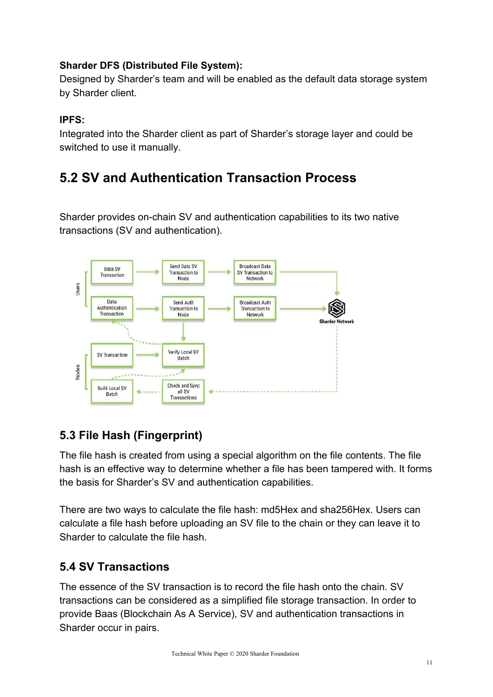#### **Sharder DFS (Distributed File System):**

Designed by Sharder's team and will be enabled as the default data storage system by Sharder client.

#### **IPFS:**

Integrated into the Sharder client as part of Sharder's storage layer and could be switched to use it manually.

## **5.2 SV and Authentication Transaction Process**

Sharder provides on-chain SV and authentication capabilities to its two native transactions (SV and authentication).



## **5.3 File Hash (Fingerprint)**

The file hash is created from using a special algorithm on the file contents. The file hash is an effective way to determine whether a file has been tampered with. It forms the basis for Sharder's SV and authentication capabilities.

There are two ways to calculate the file hash: md5Hex and sha256Hex. Users can calculate a file hash before uploading an SV file to the chain or they can leave it to Sharder to calculate the file hash.

## **5.4 SV Transactions**

The essence of the SV transaction is to record the file hash onto the chain. SV transactions can be considered as a simplified file storage transaction. In order to provide Baas (Blockchain As A Service), SV and authentication transactions in Sharder occur in pairs.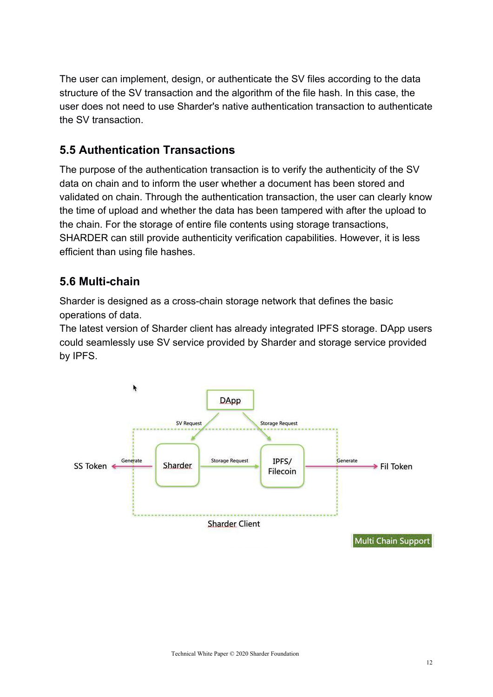The user can implement, design, or authenticate the SV files according to the data structure of the SV transaction and the algorithm of the file hash. In this case, the user does not need to use Sharder's native authentication transaction to authenticate the SV transaction.

## **5.5 Authentication Transactions**

The purpose of the authentication transaction is to verify the authenticity of the SV data on chain and to inform the user whether a document has been stored and validated on chain. Through the authentication transaction, the user can clearly know the time of upload and whether the data has been tampered with after the upload to the chain. For the storage of entire file contents using storage transactions, SHARDER can still provide authenticity verification capabilities. However, it is less efficient than using file hashes.

#### **5.6 Multi-chain**

Sharder is designed as a cross-chain storage network that defines the basic operations of data.

The latest version of Sharder client has already integrated IPFS storage. DApp users could seamlessly use SV service provided by Sharder and storage service provided by IPFS.

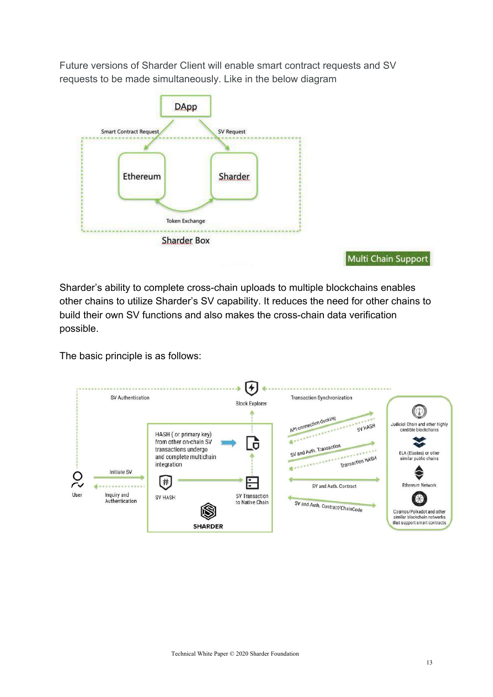Future versions of Sharder Client will enable smart contract requests and SV requests to be made simultaneously. Like in the below diagram



Multi Chain Support

Sharder's ability to complete cross-chain uploads to multiple blockchains enables other chains to utilize Sharder's SV capability. It reduces the need for other chains to build their own SV functions and also makes the cross-chain data verification possible.

The basic principle is as follows:

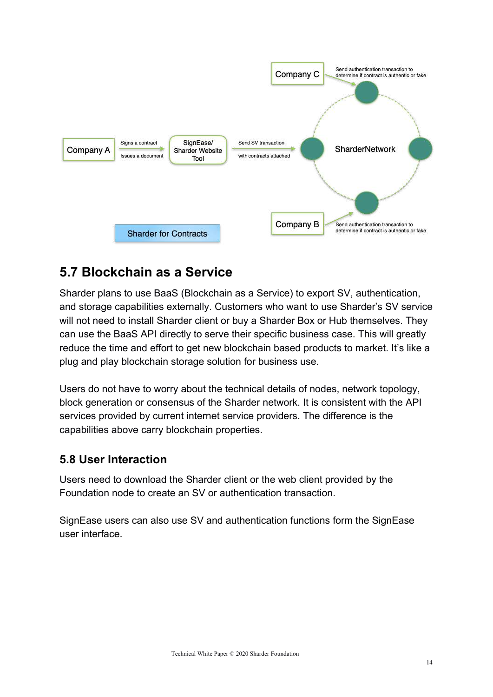

## **5.7 Blockchain as a Service**

Sharder plans to use BaaS (Blockchain as a Service) to export SV, authentication, and storage capabilities externally. Customers who want to use Sharder's SV service will not need to install Sharder client or buy a Sharder Box or Hub themselves. They can use the BaaS API directly to serve their specific business case. This will greatly reduce the time and effort to get new blockchain based products to market. It's like a plug and play blockchain storage solution for business use.

Users do not have to worry about the technical details of nodes, network topology, block generation or consensus of the Sharder network. It is consistent with the API services provided by current internet service providers. The difference is the capabilities above carry blockchain properties.

#### **5.8 User Interaction**

Users need to download the Sharder client or the web client provided by the Foundation node to create an SV or authentication transaction.

SignEase users can also use SV and authentication functions form the SignEase user interface.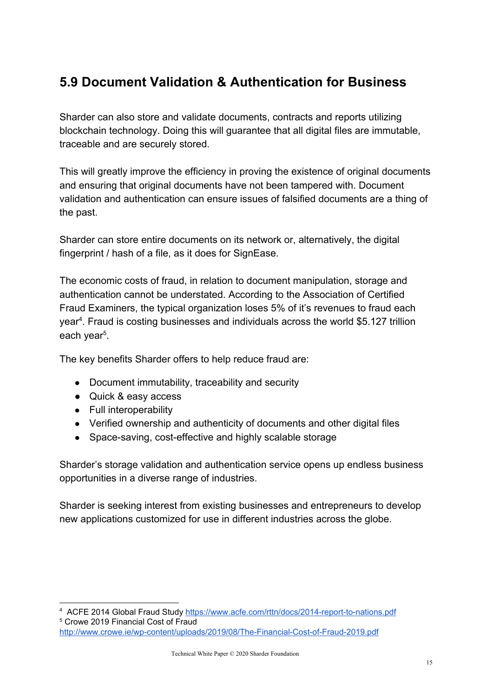## **5.9 Document Validation & Authentication for Business**

Sharder can also store and validate documents, contracts and reports utilizing blockchain technology. Doing this will guarantee that all digital files are immutable, traceable and are securely stored.

This will greatly improve the efficiency in proving the existence of original documents and ensuring that original documents have not been tampered with. Document validation and authentication can ensure issues of falsified documents are a thing of the past.

Sharder can store entire documents on its network or, alternatively, the digital fingerprint / hash of a file, as it does for SignEase.

The economic costs of fraud, in relation to document manipulation, storage and authentication cannot be understated. According to the Association of Certified Fraud Examiners, the typical organization loses 5% of it's revenues to fraud each year<sup>4</sup>. Fraud is costing businesses and individuals across the world \$5.127 trillion each year<sup>5</sup>.

The key benefits Sharder offers to help reduce fraud are:

- Document immutability, traceability and security
- Quick & easy access
- Full interoperability
- Verified ownership and authenticity of documents and other digital files
- Space-saving, cost-effective and highly scalable storage

Sharder's storage validation and authentication service opens up endless business opportunities in a diverse range of industries.

Sharder is seeking interest from existing businesses and entrepreneurs to develop new applications customized for use in different industries across the globe.

<sup>4</sup> ACFE 2014 Global Fraud Study <https://www.acfe.com/rttn/docs/2014-report-to-nations.pdf> <sup>5</sup> Crowe 2019 Financial Cost of Fraud

<http://www.crowe.ie/wp-content/uploads/2019/08/The-Financial-Cost-of-Fraud-2019.pdf>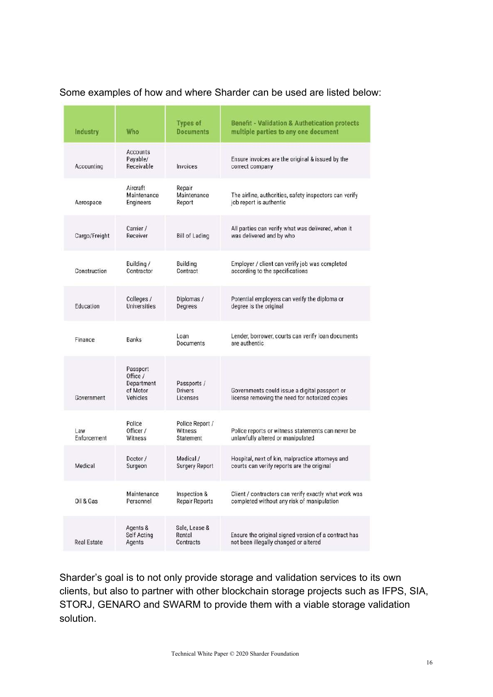| Industry           | Who                                                               | <b>Types of</b><br><b>Documents</b>       | <b>Benefit - Validation &amp; Authetication protects</b><br>multiple parties to any one document    |
|--------------------|-------------------------------------------------------------------|-------------------------------------------|-----------------------------------------------------------------------------------------------------|
| Accounting         | <b>Accounts</b><br>Pavable/<br>Receivable                         | Invoices                                  | Ensure invoices are the original & issued by the<br>correct company                                 |
| Aerospace          | Aircraft<br>Maintenance<br>Engineers                              | Repair<br>Maintenance<br>Report           | The airline, authorities, safety inspectors can verify<br>job report is authentic                   |
| Cargo/Freight      | Carrier /<br>Receiver                                             | <b>Bill of Lading</b>                     | All parties can verify what was delivered, when it<br>was delivered and by who                      |
| Construction       | Building /<br>Contractor                                          | Building<br>Contract                      | Employer / client can verify job was completed<br>according to the specifications                   |
| Education          | Colleges /<br><b>Universities</b>                                 | Diplomas /<br>Degrees                     | Potential employers can verify the diploma or<br>degree is the original                             |
| Finance            | Banks                                                             | Loan<br>Documents                         | Lender, borrower, courts can verify loan documents<br>are authentic                                 |
| Government         | Passport<br>Office /<br><b>Department</b><br>of Motor<br>Vehicles | Passports /<br><b>Drivers</b><br>Licenses | Governments could issue a digital passport or<br>license removing the need for notorized copies     |
| Law<br>Enforcement | Police<br>Officer /<br>Witness                                    | Police Report /<br>Witness<br>Statement   | Police reports or witness statements can never be<br>unlawfully altered or manipulated              |
| Medical            | Doctor /<br>Surgeon                                               | Medical /<br><b>Surgery Report</b>        | Hospital, next of kin, malpractice attorneys and<br>courts can verify reports are the original      |
| Oil & Gas          | Maintenance<br>Personnel                                          | Inspection &<br><b>Repair Reports</b>     | Client / contractors can verify exactly what work was<br>completed without any risk of manipulation |
| <b>Real Estate</b> | Agents &<br>Self Acting<br>Agents                                 | Sale, Lease &<br>Rental<br>Contracts      | Ensure the original signed version of a contract has<br>not been illegally changed or altered       |

#### Some examples of how and where Sharder can be used are listed below:

Sharder's goal is to not only provide storage and validation services to its own clients, but also to partner with other blockchain storage projects such as IFPS, SIA, STORJ, GENARO and SWARM to provide them with a viable storage validation solution.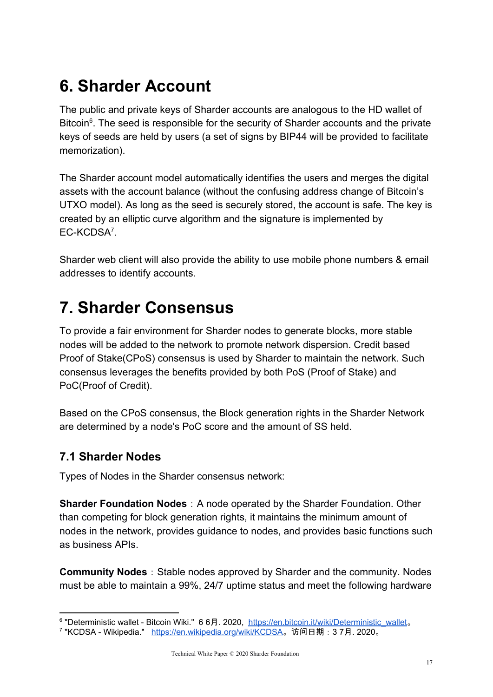# **6. Sharder Account**

The public and private keys of Sharder accounts are analogous to the HD wallet of Bitcoin $\delta$ . The seed is responsible for the security of Sharder accounts and the private keys of seeds are held by users (a set of signs by BIP44 will be provided to facilitate memorization).

The Sharder account model automatically identifies the users and merges the digital assets with the account balance (without the confusing address change of Bitcoin's UTXO model). As long as the seed is securely stored, the account is safe. The key is created by an elliptic curve algorithm and the signature is implemented by EC-KCDSA<sup>7</sup>.

Sharder web client will also provide the ability to use mobile phone numbers & email addresses to identify accounts.

# **7. Sharder Consensus**

To provide a fair environment for Sharder nodes to generate blocks, more stable nodes will be added to the network to promote network dispersion. Credit based Proof of Stake(CPoS) consensus is used by Sharder to maintain the network. Such consensus leverages the benefits provided by both PoS (Proof of Stake) and PoC(Proof of Credit).

Based on the CPoS consensus, the Block generation rights in the Sharder Network are determined by a node's PoC score and the amount of SS held.

## **7.1 Sharder Nodes**

Types of Nodes in the Sharder consensus network:

**Sharder Foundation Nodes**: A node operated by the Sharder Foundation. Other than competing for block generation rights, it maintains the minimum amount of nodes in the network, provides guidance to nodes, and provides basic functions such as business APIs.

**Community Nodes**: Stable nodes approved by Sharder and the community. Nodes must be able to maintain a 99%, 24/7 uptime status and meet the following hardware

<sup>&</sup>lt;sup>6</sup> "Deterministic wallet - Bitcoin Wiki." 6 6月. 2020, [https://en.bitcoin.it/wiki/Deterministic\\_wallet](https://en.bitcoin.it/wiki/Deterministic_wallet)。

<sup>&</sup>lt;sup>7</sup> "KCDSA - Wikipedia." <https://en.wikipedia.org/wiki/KCDSA>。访问日期: 3 7月. 2020。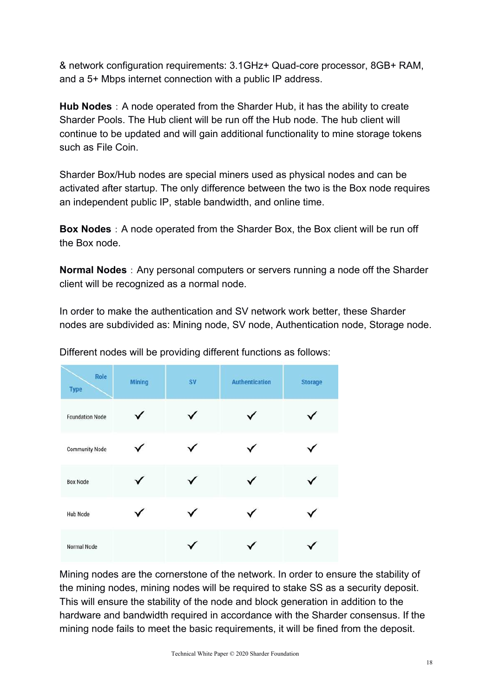& network configuration requirements: 3.1GHz+ Quad-core processor, 8GB+ RAM, and a 5+ Mbps internet connection with a public IP address.

**Hub Nodes**: A node operated from the Sharder Hub, it has the ability to create Sharder Pools. The Hub client will be run off the Hub node. The hub client will continue to be updated and will gain additional functionality to mine storage tokens such as File Coin.

Sharder Box/Hub nodes are special miners used as physical nodes and can be activated after startup. The only difference between the two is the Box node requires an independent public IP, stable bandwidth, and online time.

**Box Nodes**: A node operated from the Sharder Box, the Box client will be run off the Box node.

**Normal Nodes**: Any personal computers or servers running a node off the Sharder client will be recognized as a normal node.

In order to make the authentication and SV network work better, these Sharder nodes are subdivided as: Mining node, SV node, Authentication node, Storage node.

| Role<br><b>Type</b>    | Mining | SV | <b>Authentication</b> | <b>Storage</b> |
|------------------------|--------|----|-----------------------|----------------|
| <b>Foundation Node</b> |        |    |                       |                |
| <b>Community Node</b>  |        |    |                       |                |
| <b>Box Node</b>        |        |    |                       |                |
| <b>Hub Node</b>        |        |    |                       |                |
| Normal Node            |        |    |                       |                |

Different nodes will be providing different functions as follows:

Mining nodes are the cornerstone of the network. In order to ensure the stability of the mining nodes, mining nodes will be required to stake SS as a security deposit. This will ensure the stability of the node and block generation in addition to the hardware and bandwidth required in accordance with the Sharder consensus. If the mining node fails to meet the basic requirements, it will be fined from the deposit.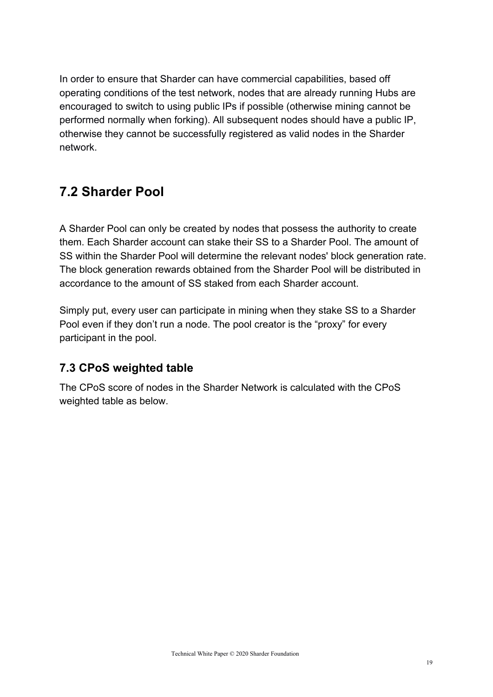In order to ensure that Sharder can have commercial capabilities, based off operating conditions of the test network, nodes that are already running Hubs are encouraged to switch to using public IPs if possible (otherwise mining cannot be performed normally when forking). All subsequent nodes should have a public IP, otherwise they cannot be successfully registered as valid nodes in the Sharder network.

## **7.2 Sharder Pool**

A Sharder Pool can only be created by nodes that possess the authority to create them. Each Sharder account can stake their SS to a Sharder Pool. The amount of SS within the Sharder Pool will determine the relevant nodes' block generation rate. The block generation rewards obtained from the Sharder Pool will be distributed in accordance to the amount of SS staked from each Sharder account.

Simply put, every user can participate in mining when they stake SS to a Sharder Pool even if they don't run a node. The pool creator is the "proxy" for every participant in the pool.

## **7.3 CPoS weighted table**

The CPoS score of nodes in the Sharder Network is calculated with the CPoS weighted table as below.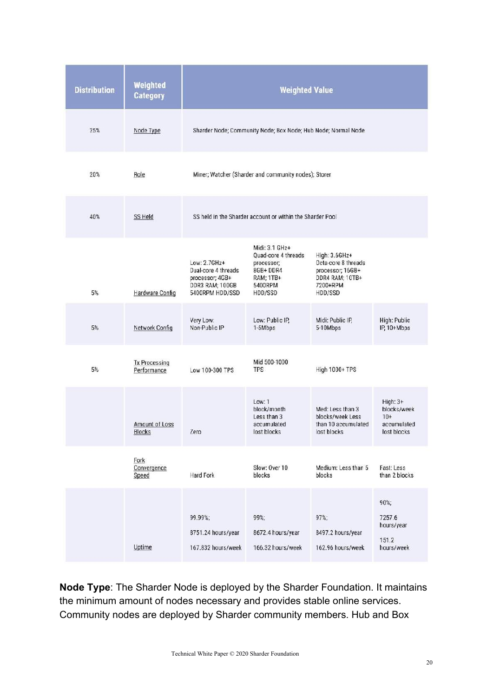| <b>Distribution</b> | <b>Weighted</b><br><b>Category</b>  |                                                                                              | <b>Weighted Value</b>                                                                                     |                                                                                                    |                                                                  |
|---------------------|-------------------------------------|----------------------------------------------------------------------------------------------|-----------------------------------------------------------------------------------------------------------|----------------------------------------------------------------------------------------------------|------------------------------------------------------------------|
| 25%                 | Node Type                           |                                                                                              | Sharder Node; Community Node; Box Node; Hub Node; Normal Node                                             |                                                                                                    |                                                                  |
| 20%                 | Role                                |                                                                                              | Miner; Watcher (Sharder and community nodes); Storer                                                      |                                                                                                    |                                                                  |
| 40%                 | SS Held                             |                                                                                              | SS held in the Sharder account or within the Sharder Pool                                                 |                                                                                                    |                                                                  |
| 5%                  | Hardware Config                     | Low: 2.7GHz+<br>Dual-core 4 threads<br>processor; 4GB+<br>DDR3 RAM; 100GB<br>5400RPM HDD/SSD | Midi: 3.1 GHz+<br>Quad-core 4 threads<br>processor;<br>8GB+DDR4<br><b>RAM; 1TB+</b><br>5400RPM<br>HDD/SSD | High: 3.6GHz+<br>Octa-core 8 threads<br>processor; 16GB+<br>DDR4 RAM; 10TB+<br>7200+RPM<br>HDD/SSD |                                                                  |
| 5%                  | Network Config                      | Very Low:<br>Non-Public IP                                                                   | Low: Public IP,<br>1-5Mbps                                                                                | Midi: Public IP,<br>5-10Mbps                                                                       | High: Public<br>IP, 10+Mbps                                      |
| 5%                  | <b>Tx Processing</b><br>Performance | Low 100-300 TPS                                                                              | Mid 500-1000<br><b>TPS</b>                                                                                | High 1000+ TPS                                                                                     |                                                                  |
|                     | Amount of Loss<br><b>Blocks</b>     | Zero                                                                                         | Low: 1<br>block/month<br>Less than 3<br>accumulated<br>lost blocks                                        | Med: Less than 3<br>blocks/week Less<br>than 10 accumulated<br>lost blocks                         | High: $3+$<br>blocks/week<br>$10+$<br>accumulated<br>lost blocks |
|                     | Fork<br>Convergence<br>Speed        | Hard Fork                                                                                    | Slow: Over 10<br>blocks                                                                                   | Medium: Less than 5<br>blocks                                                                      | Fast: Less<br>than 2 blocks                                      |
|                     | Uptime                              | 99.99%;<br>8751.24 hours/year<br>167.832 hours/week                                          | 99%;<br>8672.4 hours/year<br>166.32 hours/week                                                            | 97%;<br>8497.2 hours/year<br>162.96 hours/week                                                     | 90%;<br>7257.6<br>hours/year<br>151.2<br>hours/week              |

**Node Type**: The Sharder Node is deployed by the Sharder Foundation. It maintains the minimum amount of nodes necessary and provides stable online services. Community nodes are deployed by Sharder community members. Hub and Box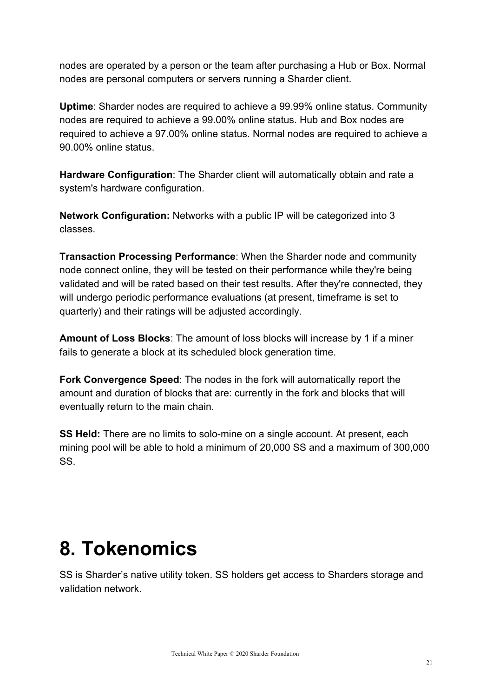nodes are operated by a person or the team after purchasing a Hub or Box. Normal nodes are personal computers or servers running a Sharder client.

**Uptime**: Sharder nodes are required to achieve a 99.99% online status. Community nodes are required to achieve a 99.00% online status. Hub and Box nodes are required to achieve a 97.00% online status. Normal nodes are required to achieve a 90.00% online status.

**Hardware Configuration**: The Sharder client will automatically obtain and rate a system's hardware configuration.

**Network Configuration:** Networks with a public IP will be categorized into 3 classes.

**Transaction Processing Performance**: When the Sharder node and community node connect online, they will be tested on their performance while they're being validated and will be rated based on their test results. After they're connected, they will undergo periodic performance evaluations (at present, timeframe is set to quarterly) and their ratings will be adjusted accordingly.

**Amount of Loss Blocks**: The amount of loss blocks will increase by 1 if a miner fails to generate a block at its scheduled block generation time.

**Fork Convergence Speed**: The nodes in the fork will automatically report the amount and duration of blocks that are: currently in the fork and blocks that will eventually return to the main chain.

**SS Held:** There are no limits to solo-mine on a single account. At present, each mining pool will be able to hold a minimum of 20,000 SS and a maximum of 300,000 SS.

# **8. Tokenomics**

SS is Sharder's native utility token. SS holders get access to Sharders storage and validation network.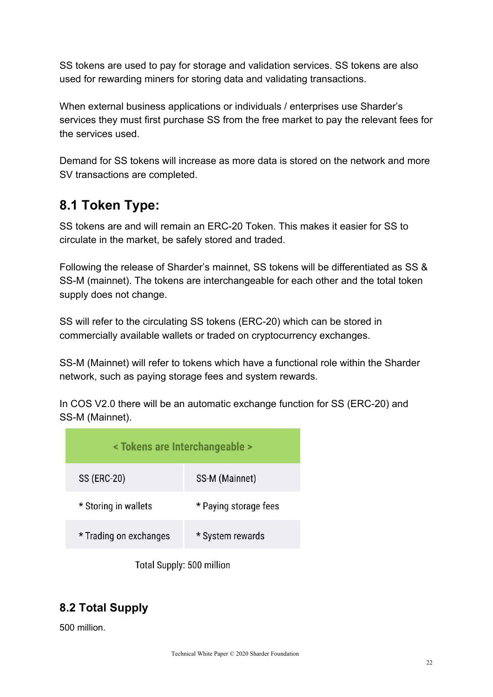SS tokens are used to pay for storage and validation services. SS tokens are also used for rewarding miners for storing data and validating transactions.

When external business applications or individuals / enterprises use Sharder's services they must first purchase SS from the free market to pay the relevant fees for the services used.

Demand for SS tokens will increase as more data is stored on the network and more SV transactions are completed.

## **8.1 Token Type:**

SS tokens are and will remain an ERC-20 Token. This makes it easier for SS to circulate in the market, be safely stored and traded.

Following the release of Sharder's mainnet, SS tokens will be differentiated as SS & SS-M (mainnet). The tokens are interchangeable for each other and the total token supply does not change.

SS will refer to the circulating SS tokens (ERC-20) which can be stored in commercially available wallets or traded on cryptocurrency exchanges.

SS-M (Mainnet) will refer to tokens which have a functional role within the Sharder network, such as paying storage fees and system rewards.

In COS V2.0 there will be an automatic exchange function for SS (ERC-20) and SS-M (Mainnet).

| < Tokens are Interchangeable > |                       |  |  |  |
|--------------------------------|-----------------------|--|--|--|
| <b>SS (ERC-20)</b>             | SS-M (Mainnet)        |  |  |  |
| * Storing in wallets           | * Paying storage fees |  |  |  |
| * Trading on exchanges         | * System rewards      |  |  |  |
|                                |                       |  |  |  |

Total Supply: 500 million

## **8.2 Total Supply**

500 million.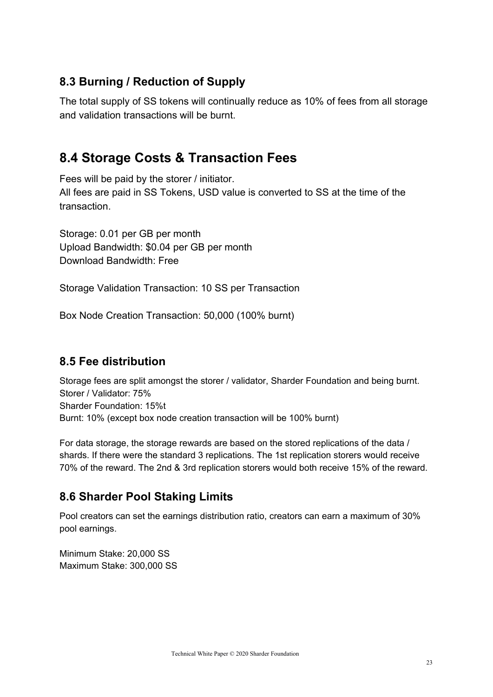## **8.3 Burning / Reduction of Supply**

The total supply of SS tokens will continually reduce as 10% of fees from all storage and validation transactions will be burnt.

## **8.4 Storage Costs & Transaction Fees**

Fees will be paid by the storer / initiator. All fees are paid in SS Tokens, USD value is converted to SS at the time of the transaction.

Storage: 0.01 per GB per month Upload Bandwidth: \$0.04 per GB per month Download Bandwidth: Free

Storage Validation Transaction: 10 SS per Transaction

Box Node Creation Transaction: 50,000 (100% burnt)

#### **8.5 Fee distribution**

Storage fees are split amongst the storer / validator, Sharder Foundation and being burnt. Storer / Validator: 75% Sharder Foundation: 15%t Burnt: 10% (except box node creation transaction will be 100% burnt)

For data storage, the storage rewards are based on the stored replications of the data / shards. If there were the standard 3 replications. The 1st replication storers would receive 70% of the reward. The 2nd & 3rd replication storers would both receive 15% of the reward.

## **8.6 Sharder Pool Staking Limits**

Pool creators can set the earnings distribution ratio, creators can earn a maximum of 30% pool earnings.

Minimum Stake: 20,000 SS Maximum Stake: 300,000 SS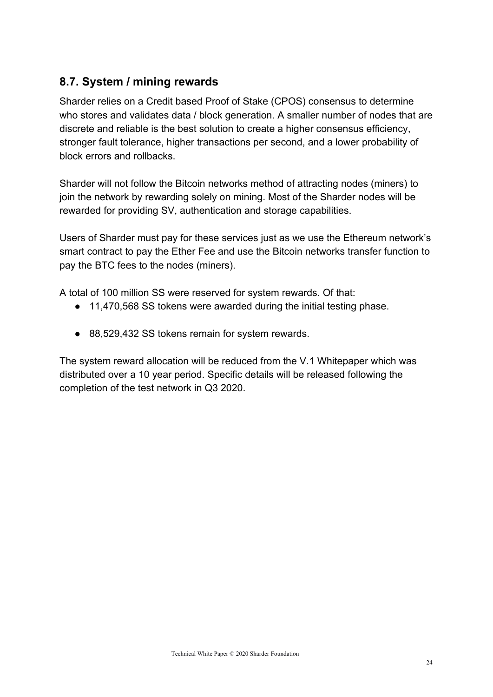### **8.7. System / mining rewards**

Sharder relies on a Credit based Proof of Stake (CPOS) consensus to determine who stores and validates data / block generation. A smaller number of nodes that are discrete and reliable is the best solution to create a higher consensus efficiency, stronger fault tolerance, higher transactions per second, and a lower probability of block errors and rollbacks.

Sharder will not follow the Bitcoin networks method of attracting nodes (miners) to join the network by rewarding solely on mining. Most of the Sharder nodes will be rewarded for providing SV, authentication and storage capabilities.

Users of Sharder must pay for these services just as we use the Ethereum network's smart contract to pay the Ether Fee and use the Bitcoin networks transfer function to pay the BTC fees to the nodes (miners).

A total of 100 million SS were reserved for system rewards. Of that:

- 11,470,568 SS tokens were awarded during the initial testing phase.
- 88,529,432 SS tokens remain for system rewards.

The system reward allocation will be reduced from the V.1 Whitepaper which was distributed over a 10 year period. Specific details will be released following the completion of the test network in Q3 2020.